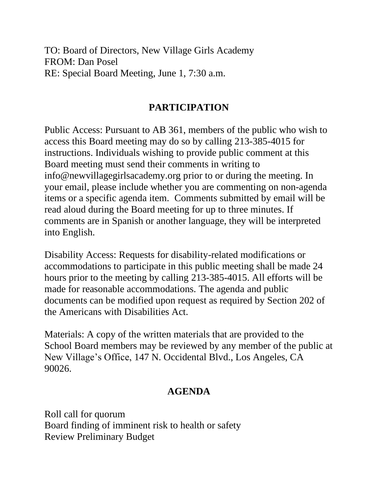TO: Board of Directors, New Village Girls Academy FROM: Dan Posel RE: Special Board Meeting, June 1, 7:30 a.m.

## **PARTICIPATION**

Public Access: Pursuant to AB 361, members of the public who wish to access this Board meeting may do so by calling 213-385-4015 for instructions. Individuals wishing to provide public comment at this Board meeting must send their comments in writing to info@newvillagegirlsacademy.org prior to or during the meeting. In your email, please include whether you are commenting on non-agenda items or a specific agenda item. Comments submitted by email will be read aloud during the Board meeting for up to three minutes. If comments are in Spanish or another language, they will be interpreted into English.

Disability Access: Requests for disability-related modifications or accommodations to participate in this public meeting shall be made 24 hours prior to the meeting by calling 213-385-4015. All efforts will be made for reasonable accommodations. The agenda and public documents can be modified upon request as required by Section 202 of the Americans with Disabilities Act.

Materials: A copy of the written materials that are provided to the School Board members may be reviewed by any member of the public at New Village's Office, 147 N. Occidental Blvd., Los Angeles, CA 90026.

## **AGENDA**

Roll call for quorum Board finding of imminent risk to health or safety Review Preliminary Budget